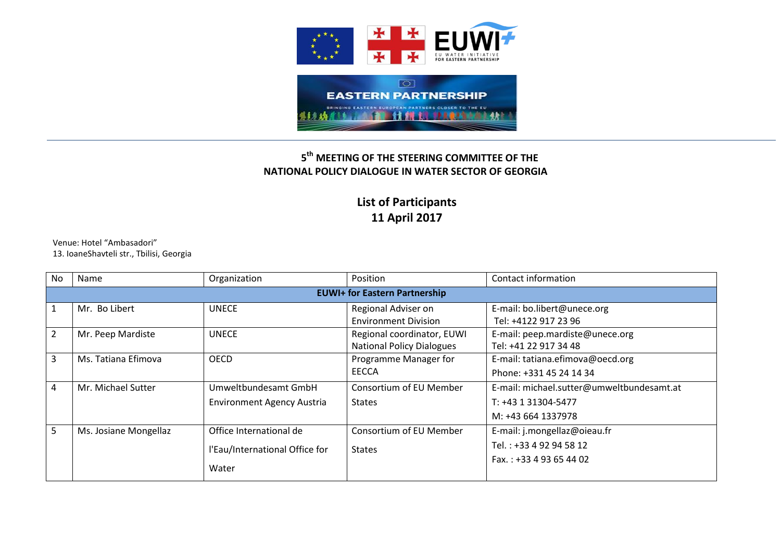

## **5 th MEETING OF THE STEERING COMMITTEE OF THE NATIONAL POLICY DIALOGUE IN WATER SECTOR OF GEORGIA**

## **List of Participants 11 April 2017**

Venue: Hotel "Ambasadori" 13. IoaneShavteli str., Tbilisi, Georgia

| N <sub>0</sub> | Name                                 | Organization                      | Position                         | Contact information                       |  |  |
|----------------|--------------------------------------|-----------------------------------|----------------------------------|-------------------------------------------|--|--|
|                | <b>EUWI+ for Eastern Partnership</b> |                                   |                                  |                                           |  |  |
|                | Mr. Bo Libert                        | <b>UNECE</b>                      | Regional Adviser on              | E-mail: bo.libert@unece.org               |  |  |
|                |                                      |                                   | <b>Environment Division</b>      | Tel: +4122 917 23 96                      |  |  |
| $\overline{2}$ | Mr. Peep Mardiste                    | <b>UNECE</b>                      | Regional coordinator, EUWI       | E-mail: peep.mardiste@unece.org           |  |  |
|                |                                      |                                   | <b>National Policy Dialogues</b> | Tel: +41 22 917 34 48                     |  |  |
| 3              | Ms. Tatiana Efimova                  | <b>OECD</b>                       | Programme Manager for            | E-mail: tatiana.efimova@oecd.org          |  |  |
|                |                                      |                                   | EECCA                            | Phone: +331 45 24 14 34                   |  |  |
| 4              | Mr. Michael Sutter                   | Umweltbundesamt GmbH              | Consortium of EU Member          | E-mail: michael.sutter@umweltbundesamt.at |  |  |
|                |                                      | <b>Environment Agency Austria</b> | <b>States</b>                    | T: +43 1 31304-5477                       |  |  |
|                |                                      |                                   |                                  | M: +43 664 1337978                        |  |  |
| 5              | Ms. Josiane Mongellaz                | Office International de           | <b>Consortium of EU Member</b>   | E-mail: j.mongellaz@oieau.fr              |  |  |
|                |                                      | l'Eau/International Office for    | <b>States</b>                    | Tel.: +33 4 92 94 58 12                   |  |  |
|                |                                      | Water                             |                                  | Fax.: +33 4 93 65 44 02                   |  |  |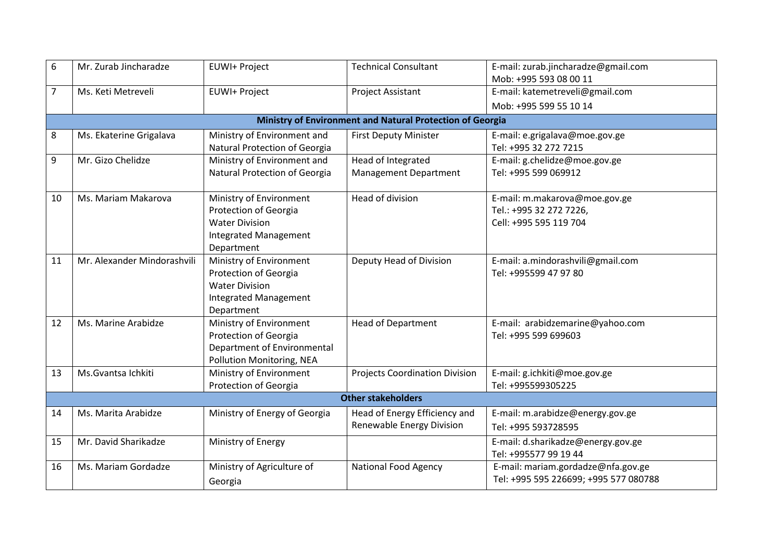| 6  | Mr. Zurab Jincharadze                                     | EUWI+ Project                                                                                                           | <b>Technical Consultant</b>                                | E-mail: zurab.jincharadze@gmail.com<br>Mob: +995 593 08 00 11                      |  |  |  |
|----|-----------------------------------------------------------|-------------------------------------------------------------------------------------------------------------------------|------------------------------------------------------------|------------------------------------------------------------------------------------|--|--|--|
| 7  | Ms. Keti Metreveli                                        | EUWI+ Project                                                                                                           | <b>Project Assistant</b>                                   | E-mail: katemetreveli@gmail.com                                                    |  |  |  |
|    |                                                           |                                                                                                                         |                                                            | Mob: +995 599 55 10 14                                                             |  |  |  |
|    | Ministry of Environment and Natural Protection of Georgia |                                                                                                                         |                                                            |                                                                                    |  |  |  |
| 8  | Ms. Ekaterine Grigalava                                   | Ministry of Environment and<br>Natural Protection of Georgia                                                            | <b>First Deputy Minister</b>                               | E-mail: e.grigalava@moe.gov.ge<br>Tel: +995 32 272 7215                            |  |  |  |
| 9  | Mr. Gizo Chelidze                                         | Ministry of Environment and<br>Natural Protection of Georgia                                                            | Head of Integrated<br><b>Management Department</b>         | E-mail: g.chelidze@moe.gov.ge<br>Tel: +995 599 069912                              |  |  |  |
| 10 | Ms. Mariam Makarova                                       | Ministry of Environment<br>Protection of Georgia<br><b>Water Division</b><br><b>Integrated Management</b><br>Department | Head of division                                           | E-mail: m.makarova@moe.gov.ge<br>Tel.: +995 32 272 7226,<br>Cell: +995 595 119 704 |  |  |  |
| 11 | Mr. Alexander Mindorashvili                               | Ministry of Environment<br>Protection of Georgia<br><b>Water Division</b><br><b>Integrated Management</b><br>Department | Deputy Head of Division                                    | E-mail: a.mindorashvili@gmail.com<br>Tel: +995599 47 97 80                         |  |  |  |
| 12 | Ms. Marine Arabidze                                       | Ministry of Environment<br>Protection of Georgia<br>Department of Environmental<br>Pollution Monitoring, NEA            | <b>Head of Department</b>                                  | E-mail: arabidzemarine@yahoo.com<br>Tel: +995 599 699603                           |  |  |  |
| 13 | Ms. Gvantsa Ichkiti                                       | Ministry of Environment<br>Protection of Georgia                                                                        | <b>Projects Coordination Division</b>                      | E-mail: g.ichkiti@moe.gov.ge<br>Tel: +995599305225                                 |  |  |  |
|    | <b>Other stakeholders</b>                                 |                                                                                                                         |                                                            |                                                                                    |  |  |  |
| 14 | Ms. Marita Arabidze                                       | Ministry of Energy of Georgia                                                                                           | Head of Energy Efficiency and<br>Renewable Energy Division | E-mail: m.arabidze@energy.gov.ge<br>Tel: +995 593728595                            |  |  |  |
| 15 | Mr. David Sharikadze                                      | Ministry of Energy                                                                                                      |                                                            | E-mail: d.sharikadze@energy.gov.ge<br>Tel: +995577 99 19 44                        |  |  |  |
| 16 | Ms. Mariam Gordadze                                       | Ministry of Agriculture of<br>Georgia                                                                                   | <b>National Food Agency</b>                                | E-mail: mariam.gordadze@nfa.gov.ge<br>Tel: +995 595 226699; +995 577 080788        |  |  |  |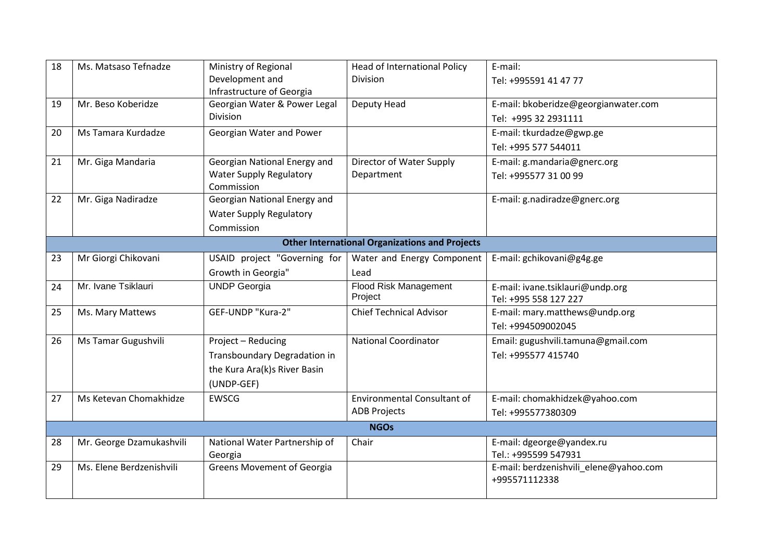| 18                                                    | Ms. Matsaso Tefnadze     | Ministry of Regional              | <b>Head of International Policy</b> | E-mail:                                |  |
|-------------------------------------------------------|--------------------------|-----------------------------------|-------------------------------------|----------------------------------------|--|
|                                                       |                          | Development and                   | Division                            | Tel: +995591 41 47 77                  |  |
|                                                       |                          | Infrastructure of Georgia         |                                     |                                        |  |
| 19                                                    | Mr. Beso Koberidze       | Georgian Water & Power Legal      | Deputy Head                         | E-mail: bkoberidze@georgianwater.com   |  |
|                                                       |                          | <b>Division</b>                   |                                     | Tel: +995 32 2931111                   |  |
| 20                                                    | Ms Tamara Kurdadze       | Georgian Water and Power          |                                     | E-mail: tkurdadze@gwp.ge               |  |
|                                                       |                          |                                   |                                     | Tel: +995 577 544011                   |  |
| 21                                                    | Mr. Giga Mandaria        | Georgian National Energy and      | Director of Water Supply            | E-mail: g.mandaria@gnerc.org           |  |
|                                                       |                          | <b>Water Supply Regulatory</b>    | Department                          | Tel: +995577 31 00 99                  |  |
|                                                       |                          | Commission                        |                                     |                                        |  |
| 22                                                    | Mr. Giga Nadiradze       | Georgian National Energy and      |                                     | E-mail: g.nadiradze@gnerc.org          |  |
|                                                       |                          | <b>Water Supply Regulatory</b>    |                                     |                                        |  |
|                                                       |                          | Commission                        |                                     |                                        |  |
| <b>Other International Organizations and Projects</b> |                          |                                   |                                     |                                        |  |
| 23                                                    | Mr Giorgi Chikovani      | USAID project "Governing for      | Water and Energy Component          | E-mail: gchikovani@g4g.ge              |  |
|                                                       |                          | Growth in Georgia"                | Lead                                |                                        |  |
| 24                                                    | Mr. Ivane Tsiklauri      | <b>UNDP Georgia</b>               | <b>Flood Risk Management</b>        | E-mail: ivane.tsiklauri@undp.org       |  |
|                                                       |                          |                                   | Project                             | Tel: +995 558 127 227                  |  |
| 25                                                    | Ms. Mary Mattews         | GEF-UNDP "Kura-2"                 | <b>Chief Technical Advisor</b>      | E-mail: mary.matthews@undp.org         |  |
|                                                       |                          |                                   |                                     | Tel: +994509002045                     |  |
| 26                                                    | Ms Tamar Gugushvili      | Project - Reducing                | <b>National Coordinator</b>         | Email: gugushvili.tamuna@gmail.com     |  |
|                                                       |                          | Transboundary Degradation in      |                                     | Tel: +995577 415740                    |  |
|                                                       |                          | the Kura Ara(k)s River Basin      |                                     |                                        |  |
|                                                       |                          | (UNDP-GEF)                        |                                     |                                        |  |
| 27                                                    | Ms Ketevan Chomakhidze   | <b>EWSCG</b>                      | <b>Environmental Consultant of</b>  | E-mail: chomakhidzek@yahoo.com         |  |
|                                                       |                          |                                   | <b>ADB Projects</b>                 | Tel: +995577380309                     |  |
|                                                       |                          |                                   | <b>NGOs</b>                         |                                        |  |
| 28                                                    | Mr. George Dzamukashvili | National Water Partnership of     | Chair                               | E-mail: dgeorge@yandex.ru              |  |
|                                                       |                          | Georgia                           |                                     | Tel.: +995599 547931                   |  |
| 29                                                    | Ms. Elene Berdzenishvili | <b>Greens Movement of Georgia</b> |                                     | E-mail: berdzenishvili_elene@yahoo.com |  |
|                                                       |                          |                                   |                                     | +995571112338                          |  |
|                                                       |                          |                                   |                                     |                                        |  |